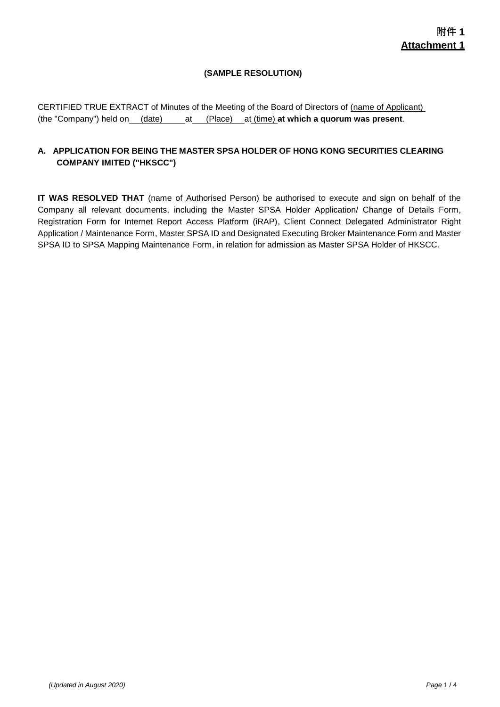## **(SAMPLE RESOLUTION)**

CERTIFIED TRUE EXTRACT of Minutes of the Meeting of the Board of Directors of (name of Applicant) (the "Company") held on (date) at (Place) at (time) **at which a quorum was present**.

## **A. APPLICATION FOR BEING THE MASTER SPSA HOLDER OF HONG KONG SECURITIES CLEARING COMPANY IMITED ("HKSCC")**

**IT WAS RESOLVED THAT** (name of Authorised Person) be authorised to execute and sign on behalf of the Company all relevant documents, including the Master SPSA Holder Application/ Change of Details Form, Registration Form for Internet Report Access Platform (iRAP), Client Connect Delegated Administrator Right Application / Maintenance Form, Master SPSA ID and Designated Executing Broker Maintenance Form and Master SPSA ID to SPSA Mapping Maintenance Form, in relation for admission as Master SPSA Holder of HKSCC.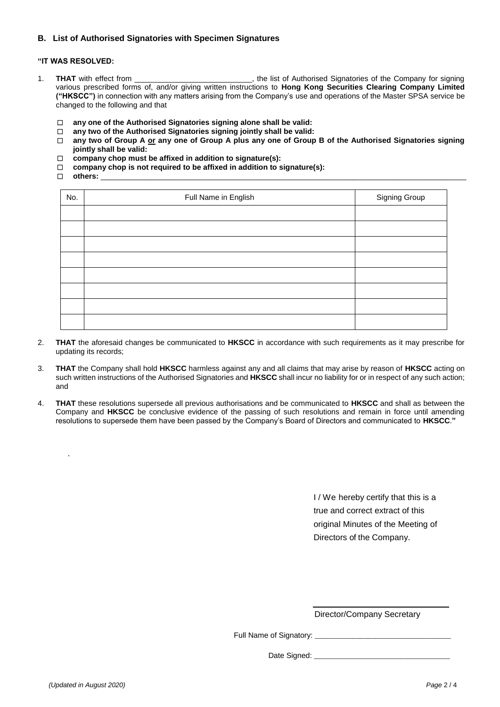## **B. List of Authorised Signatories with Specimen Signatures**

## **"IT WAS RESOLVED:**

- 1. **THAT** with effect from \_\_\_\_\_\_\_\_\_\_\_\_\_\_\_\_\_\_\_\_\_\_\_\_\_\_, the list of Authorised Signatories of the Company for signing various prescribed forms of, and/or giving written instructions to **Hong Kong Securities Clearing Company Limited ("HKSCC")** in connection with any matters arising from the Company's use and operations of the Master SPSA service be changed to the following and that
	- □ **any one of the Authorised Signatories signing alone shall be valid:**
	- □ **any two of the Authorised Signatories signing jointly shall be valid:**
	- □ **any two of Group A or any one of Group A plus any one of Group B of the Authorised Signatories signing jointly shall be valid:**
	- □ **company chop must be affixed in addition to signature(s):**
	- □ **company chop is not required to be affixed in addition to signature(s):**
	- □ **others:** \_\_\_\_\_\_\_\_\_\_\_\_\_\_\_\_\_\_\_\_\_\_\_\_\_\_\_\_\_\_\_\_\_\_\_\_\_\_\_\_\_\_\_\_\_\_\_\_\_\_\_\_\_\_\_\_\_\_\_\_\_\_\_\_\_\_\_\_\_\_\_\_\_\_\_\_\_\_\_\_\_\_\_\_\_\_\_

| No. | Full Name in English | Signing Group |
|-----|----------------------|---------------|
|     |                      |               |
|     |                      |               |
|     |                      |               |
|     |                      |               |
|     |                      |               |
|     |                      |               |
|     |                      |               |
|     |                      |               |

- 2. **THAT** the aforesaid changes be communicated to **HKSCC** in accordance with such requirements as it may prescribe for updating its records;
- 3. **THAT** the Company shall hold **HKSCC** harmless against any and all claims that may arise by reason of **HKSCC** acting on such written instructions of the Authorised Signatories and **HKSCC** shall incur no liability for or in respect of any such action; and
- 4. **THAT** these resolutions supersede all previous authorisations and be communicated to **HKSCC** and shall as between the Company and **HKSCC** be conclusive evidence of the passing of such resolutions and remain in force until amending resolutions to supersede them have been passed by the Company's Board of Directors and communicated to **HKSCC**.**"**

I / We hereby certify that this is a true and correct extract of this original Minutes of the Meeting of Directors of the Company.

Director/Company Secretary

Full Name of Signatory: \_\_\_\_\_\_\_\_\_\_\_\_\_\_\_\_\_\_\_\_\_\_\_\_\_\_\_\_\_\_\_\_\_\_\_\_

Date Signed: \_\_\_\_\_\_\_\_\_\_\_\_\_\_\_\_\_\_\_\_\_\_\_\_\_\_\_\_\_\_\_\_\_\_\_\_

.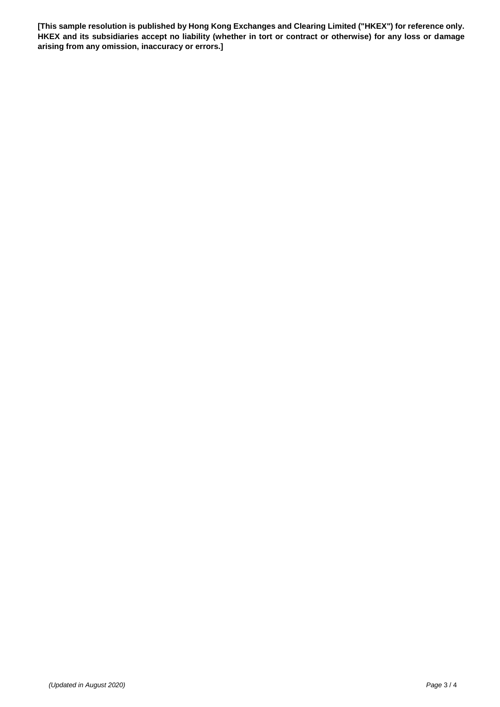**[This sample resolution is published by Hong Kong Exchanges and Clearing Limited ("HKEX") for reference only. HKEX and its subsidiaries accept no liability (whether in tort or contract or otherwise) for any loss or damage arising from any omission, inaccuracy or errors.]**